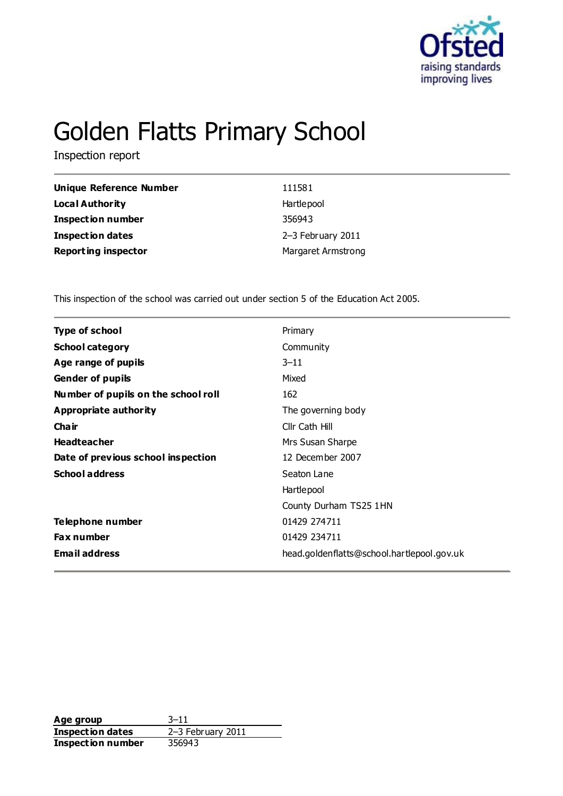

# Golden Flatts Primary School

Inspection report

| Unique Reference Number    | 111581                    |
|----------------------------|---------------------------|
| <b>Local Authority</b>     | Hartlepool                |
| <b>Inspection number</b>   | 356943                    |
| <b>Inspection dates</b>    | 2-3 February 2011         |
| <b>Reporting inspector</b> | <b>Margaret Armstrong</b> |

This inspection of the school was carried out under section 5 of the Education Act 2005.

| <b>Type of school</b><br>Primary                                   |  |
|--------------------------------------------------------------------|--|
| <b>School category</b><br>Community                                |  |
| Age range of pupils<br>$3 - 11$                                    |  |
| <b>Gender of pupils</b><br>Mixed                                   |  |
| 162<br>Number of pupils on the school roll                         |  |
| Appropriate authority<br>The governing body                        |  |
| Cha ir<br>Cllr Cath Hill                                           |  |
| <b>Headteacher</b><br>Mrs Susan Sharpe                             |  |
| Date of previous school inspection<br>12 December 2007             |  |
| <b>School address</b><br>Seaton Lane                               |  |
| Hartlepool                                                         |  |
| County Durham TS25 1HN                                             |  |
| Telephone number<br>01429 274711                                   |  |
| 01429 234711<br>Fax number                                         |  |
| <b>Email address</b><br>head.goldenflatts@school.hartlepool.gov.uk |  |

**Age group** 3–11<br> **Inspection dates** 2–3 February 2011 **Inspection dates Inspection number** 356943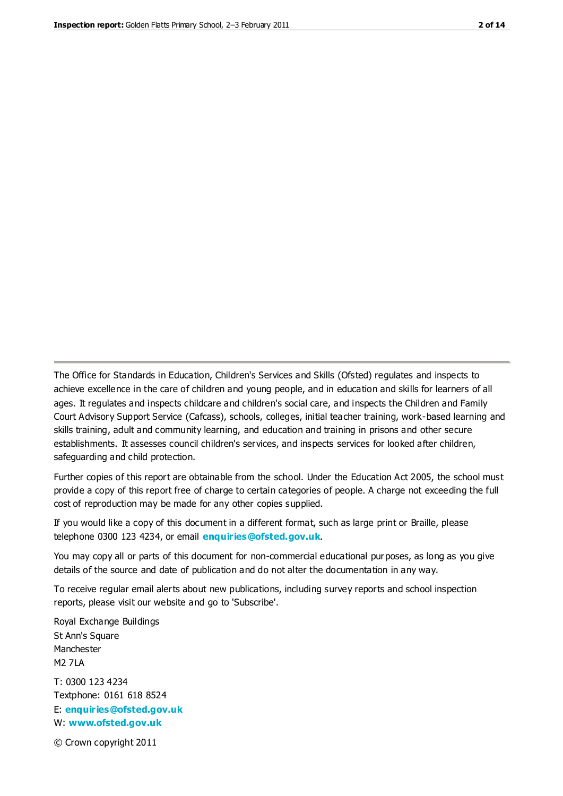The Office for Standards in Education, Children's Services and Skills (Ofsted) regulates and inspects to achieve excellence in the care of children and young people, and in education and skills for learners of all ages. It regulates and inspects childcare and children's social care, and inspects the Children and Family Court Advisory Support Service (Cafcass), schools, colleges, initial teacher training, work-based learning and skills training, adult and community learning, and education and training in prisons and other secure establishments. It assesses council children's services, and inspects services for looked after children, safeguarding and child protection.

Further copies of this report are obtainable from the school. Under the Education Act 2005, the school must provide a copy of this report free of charge to certain categories of people. A charge not exceeding the full cost of reproduction may be made for any other copies supplied.

If you would like a copy of this document in a different format, such as large print or Braille, please telephone 0300 123 4234, or email **[enquiries@ofsted.gov.uk](mailto:enquiries@ofsted.gov.uk)**.

You may copy all or parts of this document for non-commercial educational purposes, as long as you give details of the source and date of publication and do not alter the documentation in any way.

To receive regular email alerts about new publications, including survey reports and school inspection reports, please visit our website and go to 'Subscribe'.

Royal Exchange Buildings St Ann's Square Manchester M2 7LA T: 0300 123 4234 Textphone: 0161 618 8524 E: **[enquiries@ofsted.gov.uk](mailto:enquiries@ofsted.gov.uk)**

W: **[www.ofsted.gov.uk](http://www.ofsted.gov.uk/)**

© Crown copyright 2011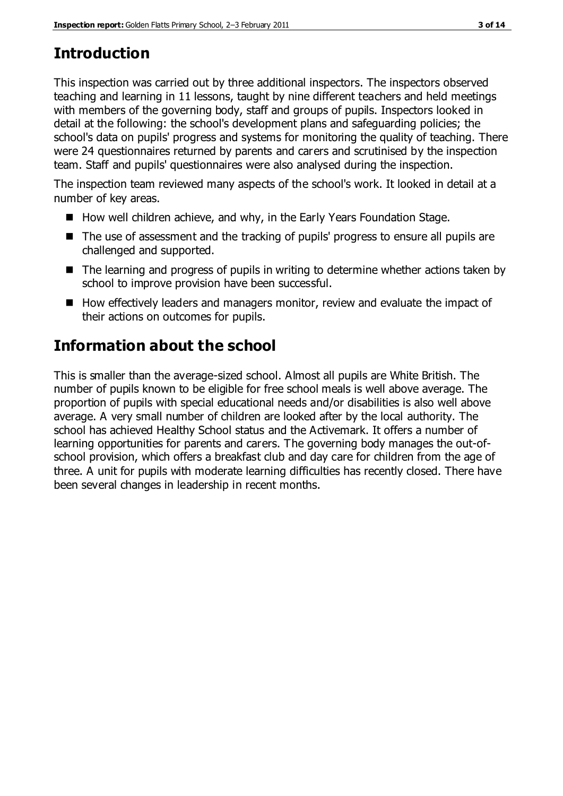# **Introduction**

This inspection was carried out by three additional inspectors. The inspectors observed teaching and learning in 11 lessons, taught by nine different teachers and held meetings with members of the governing body, staff and groups of pupils. Inspectors looked in detail at the following: the school's development plans and safeguarding policies; the school's data on pupils' progress and systems for monitoring the quality of teaching. There were 24 questionnaires returned by parents and carers and scrutinised by the inspection team. Staff and pupils' questionnaires were also analysed during the inspection.

The inspection team reviewed many aspects of the school's work. It looked in detail at a number of key areas.

- How well children achieve, and why, in the Early Years Foundation Stage.
- The use of assessment and the tracking of pupils' progress to ensure all pupils are challenged and supported.
- The learning and progress of pupils in writing to determine whether actions taken by school to improve provision have been successful.
- $\blacksquare$  How effectively leaders and managers monitor, review and evaluate the impact of their actions on outcomes for pupils.

# **Information about the school**

This is smaller than the average-sized school. Almost all pupils are White British. The number of pupils known to be eligible for free school meals is well above average. The proportion of pupils with special educational needs and/or disabilities is also well above average. A very small number of children are looked after by the local authority. The school has achieved Healthy School status and the Activemark. It offers a number of learning opportunities for parents and carers. The governing body manages the out-ofschool provision, which offers a breakfast club and day care for children from the age of three. A unit for pupils with moderate learning difficulties has recently closed. There have been several changes in leadership in recent months.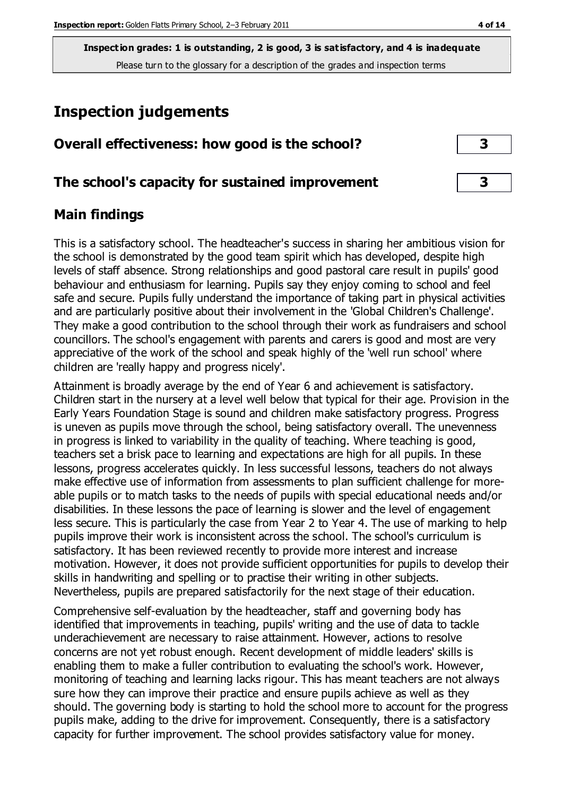# **Inspection judgements**

| Overall effectiveness: how good is the school? |  |
|------------------------------------------------|--|
|------------------------------------------------|--|

## **The school's capacity for sustained improvement 3**

## **Main findings**

This is a satisfactory school. The headteacher's success in sharing her ambitious vision for the school is demonstrated by the good team spirit which has developed, despite high levels of staff absence. Strong relationships and good pastoral care result in pupils' good behaviour and enthusiasm for learning. Pupils say they enjoy coming to school and feel safe and secure. Pupils fully understand the importance of taking part in physical activities and are particularly positive about their involvement in the 'Global Children's Challenge'. They make a good contribution to the school through their work as fundraisers and school councillors. The school's engagement with parents and carers is good and most are very appreciative of the work of the school and speak highly of the 'well run school' where children are 'really happy and progress nicely'.

Attainment is broadly average by the end of Year 6 and achievement is satisfactory. Children start in the nursery at a level well below that typical for their age. Provision in the Early Years Foundation Stage is sound and children make satisfactory progress. Progress is uneven as pupils move through the school, being satisfactory overall. The unevenness in progress is linked to variability in the quality of teaching. Where teaching is good, teachers set a brisk pace to learning and expectations are high for all pupils. In these lessons, progress accelerates quickly. In less successful lessons, teachers do not always make effective use of information from assessments to plan sufficient challenge for moreable pupils or to match tasks to the needs of pupils with special educational needs and/or disabilities. In these lessons the pace of learning is slower and the level of engagement less secure. This is particularly the case from Year 2 to Year 4. The use of marking to help pupils improve their work is inconsistent across the school. The school's curriculum is satisfactory. It has been reviewed recently to provide more interest and increase motivation. However, it does not provide sufficient opportunities for pupils to develop their skills in handwriting and spelling or to practise their writing in other subjects. Nevertheless, pupils are prepared satisfactorily for the next stage of their education.

Comprehensive self-evaluation by the headteacher, staff and governing body has identified that improvements in teaching, pupils' writing and the use of data to tackle underachievement are necessary to raise attainment. However, actions to resolve concerns are not yet robust enough. Recent development of middle leaders' skills is enabling them to make a fuller contribution to evaluating the school's work. However, monitoring of teaching and learning lacks rigour. This has meant teachers are not always sure how they can improve their practice and ensure pupils achieve as well as they should. The governing body is starting to hold the school more to account for the progress pupils make, adding to the drive for improvement. Consequently, there is a satisfactory capacity for further improvement. The school provides satisfactory value for money.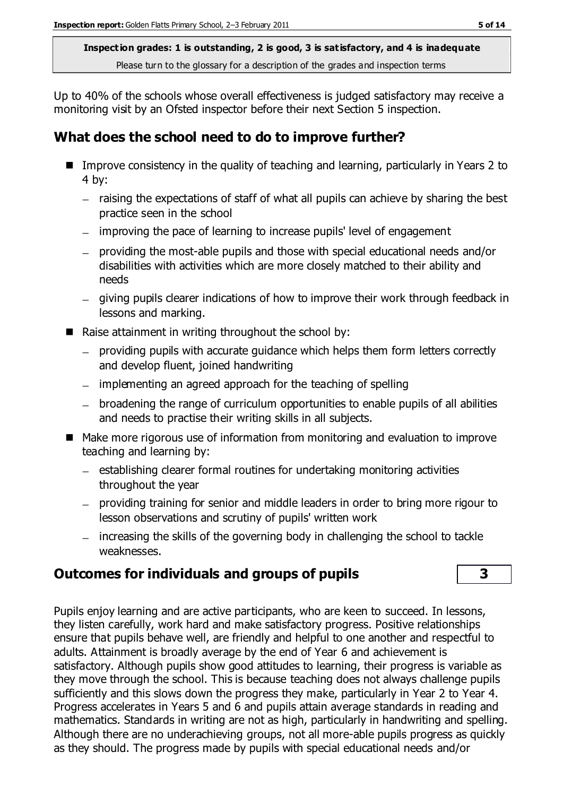Up to 40% of the schools whose overall effectiveness is judged satisfactory may receive a monitoring visit by an Ofsted inspector before their next Section 5 inspection.

# **What does the school need to do to improve further?**

- Improve consistency in the quality of teaching and learning, particularly in Years 2 to 4 by:
	- raising the expectations of staff of what all pupils can achieve by sharing the best practice seen in the school
	- improving the pace of learning to increase pupils' level of engagement
	- providing the most-able pupils and those with special educational needs and/or disabilities with activities which are more closely matched to their ability and needs
	- giving pupils clearer indications of how to improve their work through feedback in lessons and marking.
- Raise attainment in writing throughout the school by:
	- providing pupils with accurate guidance which helps them form letters correctly and develop fluent, joined handwriting
	- implementing an agreed approach for the teaching of spelling
	- broadening the range of curriculum opportunities to enable pupils of all abilities and needs to practise their writing skills in all subjects.
- Make more rigorous use of information from monitoring and evaluation to improve teaching and learning by:
	- $-$  establishing clearer formal routines for undertaking monitoring activities throughout the year
	- providing training for senior and middle leaders in order to bring more rigour to lesson observations and scrutiny of pupils' written work
	- increasing the skills of the governing body in challenging the school to tackle weaknesses.

# **Outcomes for individuals and groups of pupils 3**

Pupils enjoy learning and are active participants, who are keen to succeed. In lessons, they listen carefully, work hard and make satisfactory progress. Positive relationships ensure that pupils behave well, are friendly and helpful to one another and respectful to adults. Attainment is broadly average by the end of Year 6 and achievement is satisfactory. Although pupils show good attitudes to learning, their progress is variable as they move through the school. This is because teaching does not always challenge pupils sufficiently and this slows down the progress they make, particularly in Year 2 to Year 4. Progress accelerates in Years 5 and 6 and pupils attain average standards in reading and mathematics. Standards in writing are not as high, particularly in handwriting and spelling. Although there are no underachieving groups, not all more-able pupils progress as quickly as they should. The progress made by pupils with special educational needs and/or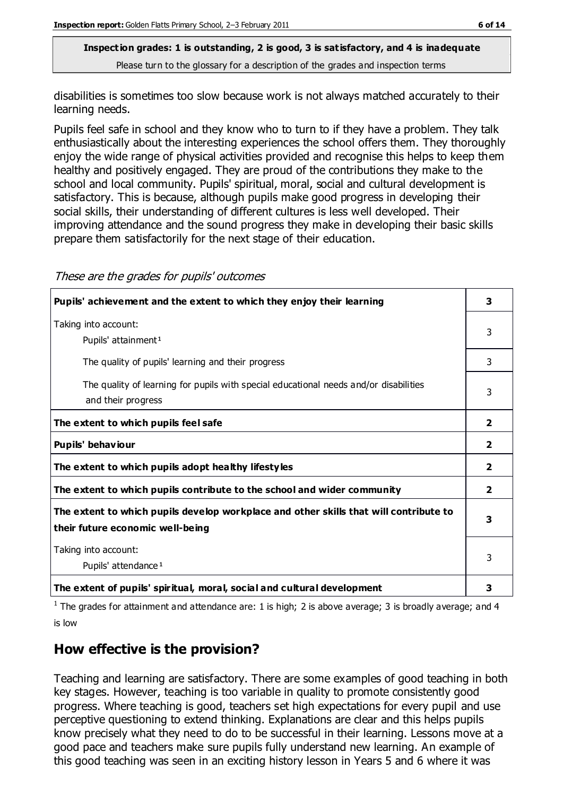disabilities is sometimes too slow because work is not always matched accurately to their learning needs.

Pupils feel safe in school and they know who to turn to if they have a problem. They talk enthusiastically about the interesting experiences the school offers them. They thoroughly enjoy the wide range of physical activities provided and recognise this helps to keep them healthy and positively engaged. They are proud of the contributions they make to the school and local community. Pupils' spiritual, moral, social and cultural development is satisfactory. This is because, although pupils make good progress in developing their social skills, their understanding of different cultures is less well developed. Their improving attendance and the sound progress they make in developing their basic skills prepare them satisfactorily for the next stage of their education.

| Pupils' achievement and the extent to which they enjoy their learning                                                     |                |
|---------------------------------------------------------------------------------------------------------------------------|----------------|
| Taking into account:<br>Pupils' attainment <sup>1</sup>                                                                   | 3              |
| The quality of pupils' learning and their progress                                                                        | 3              |
| The quality of learning for pupils with special educational needs and/or disabilities<br>and their progress               | 3              |
| The extent to which pupils feel safe                                                                                      | $\overline{2}$ |
| Pupils' behaviour                                                                                                         | 2              |
| The extent to which pupils adopt healthy lifestyles                                                                       | 2              |
| The extent to which pupils contribute to the school and wider community                                                   |                |
| The extent to which pupils develop workplace and other skills that will contribute to<br>their future economic well-being |                |
| Taking into account:<br>Pupils' attendance <sup>1</sup>                                                                   |                |
| The extent of pupils' spiritual, moral, social and cultural development                                                   | 3              |

These are the grades for pupils' outcomes

<sup>1</sup> The grades for attainment and attendance are: 1 is high; 2 is above average; 3 is broadly average; and 4 is low

# **How effective is the provision?**

Teaching and learning are satisfactory. There are some examples of good teaching in both key stages. However, teaching is too variable in quality to promote consistently good progress. Where teaching is good, teachers set high expectations for every pupil and use perceptive questioning to extend thinking. Explanations are clear and this helps pupils know precisely what they need to do to be successful in their learning. Lessons move at a good pace and teachers make sure pupils fully understand new learning. An example of this good teaching was seen in an exciting history lesson in Years 5 and 6 where it was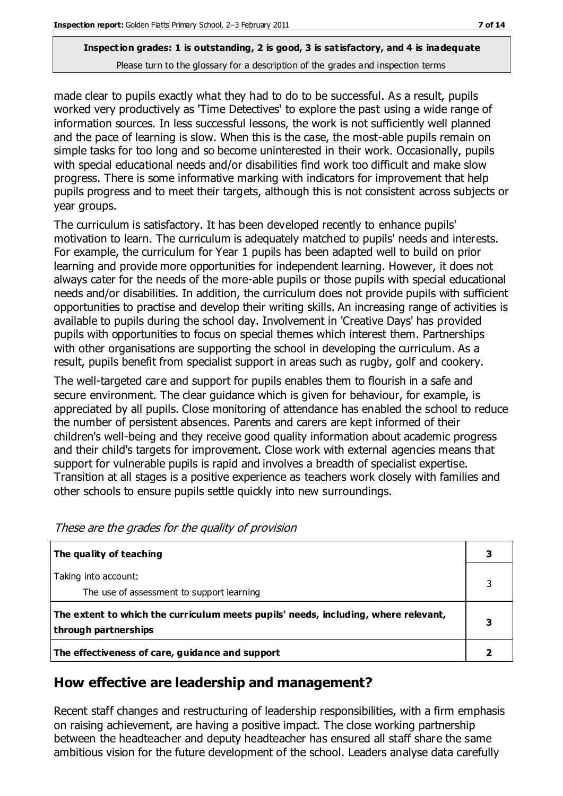made clear to pupils exactly what they had to do to be successful. As a result, pupils worked very productively as 'Time Detectives' to explore the past using a wide range of information sources. In less successful lessons, the work is not sufficiently well planned and the pace of learning is slow. When this is the case, the most-able pupils remain on simple tasks for too long and so become uninterested in their work. Occasionally, pupils with special educational needs and/or disabilities find work too difficult and make slow progress. There is some informative marking with indicators for improvement that help pupils progress and to meet their targets, although this is not consistent across subjects or year groups.

The curriculum is satisfactory. It has been developed recently to enhance pupils' motivation to learn. The curriculum is adequately matched to pupils' needs and interests. For example, the curriculum for Year 1 pupils has been adapted well to build on prior learning and provide more opportunities for independent learning. However, it does not always cater for the needs of the more-able pupils or those pupils with special educational needs and/or disabilities. In addition, the curriculum does not provide pupils with sufficient opportunities to practise and develop their writing skills. An increasing range of activities is available to pupils during the school day. Involvement in 'Creative Days' has provided pupils with opportunities to focus on special themes which interest them. Partnerships with other organisations are supporting the school in developing the curriculum. As a result, pupils benefit from specialist support in areas such as rugby, golf and cookery.

The well-targeted care and support for pupils enables them to flourish in a safe and secure environment. The clear guidance which is given for behaviour, for example, is appreciated by all pupils. Close monitoring of attendance has enabled the school to reduce the number of persistent absences. Parents and carers are kept informed of their children's well-being and they receive good quality information about academic progress and their child's targets for improvement. Close work with external agencies means that support for vulnerable pupils is rapid and involves a breadth of specialist expertise. Transition at all stages is a positive experience as teachers work closely with families and other schools to ensure pupils settle quickly into new surroundings.

| The quality of teaching                                                                                    |  |
|------------------------------------------------------------------------------------------------------------|--|
| Taking into account:<br>The use of assessment to support learning                                          |  |
| The extent to which the curriculum meets pupils' needs, including, where relevant,<br>through partnerships |  |
| The effectiveness of care, guidance and support                                                            |  |

These are the grades for the quality of provision

# **How effective are leadership and management?**

Recent staff changes and restructuring of leadership responsibilities, with a firm emphasis on raising achievement, are having a positive impact. The close working partnership between the headteacher and deputy headteacher has ensured all staff share the same ambitious vision for the future development of the school. Leaders analyse data carefully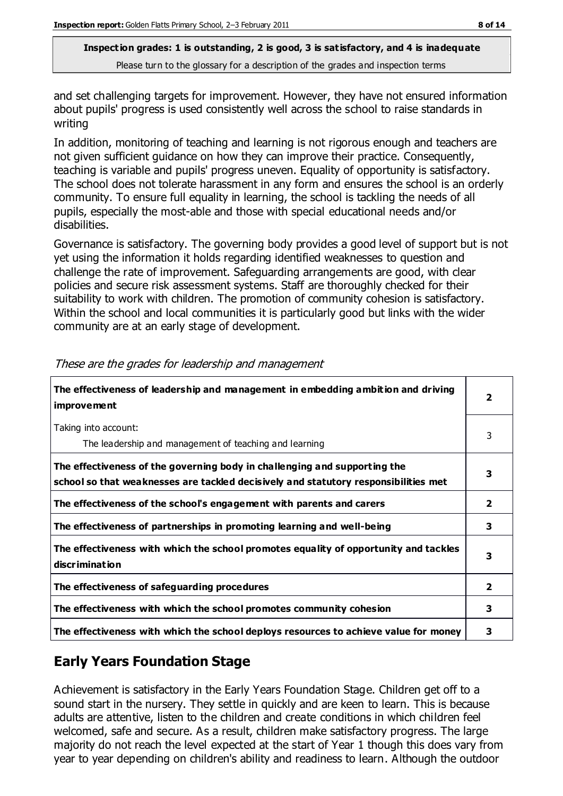and set challenging targets for improvement. However, they have not ensured information about pupils' progress is used consistently well across the school to raise standards in writing

In addition, monitoring of teaching and learning is not rigorous enough and teachers are not given sufficient guidance on how they can improve their practice. Consequently, teaching is variable and pupils' progress uneven. Equality of opportunity is satisfactory. The school does not tolerate harassment in any form and ensures the school is an orderly community. To ensure full equality in learning, the school is tackling the needs of all pupils, especially the most-able and those with special educational needs and/or disabilities.

Governance is satisfactory. The governing body provides a good level of support but is not yet using the information it holds regarding identified weaknesses to question and challenge the rate of improvement. Safeguarding arrangements are good, with clear policies and secure risk assessment systems. Staff are thoroughly checked for their suitability to work with children. The promotion of community cohesion is satisfactory. Within the school and local communities it is particularly good but links with the wider community are at an early stage of development.

| The effectiveness of leadership and management in embedding ambition and driving<br><i>improvement</i>                                                           |                         |
|------------------------------------------------------------------------------------------------------------------------------------------------------------------|-------------------------|
| Taking into account:<br>The leadership and management of teaching and learning                                                                                   | 3                       |
| The effectiveness of the governing body in challenging and supporting the<br>school so that weaknesses are tackled decisively and statutory responsibilities met | 3                       |
| The effectiveness of the school's engagement with parents and carers                                                                                             | $\overline{\mathbf{2}}$ |
| The effectiveness of partnerships in promoting learning and well-being                                                                                           | 3                       |
| The effectiveness with which the school promotes equality of opportunity and tackles<br>discrimination                                                           | 3                       |
| The effectiveness of safeguarding procedures                                                                                                                     | $\overline{\mathbf{2}}$ |
| The effectiveness with which the school promotes community cohesion                                                                                              | 3                       |
| The effectiveness with which the school deploys resources to achieve value for money                                                                             | 3                       |

These are the grades for leadership and management

# **Early Years Foundation Stage**

Achievement is satisfactory in the Early Years Foundation Stage. Children get off to a sound start in the nursery. They settle in quickly and are keen to learn. This is because adults are attentive, listen to the children and create conditions in which children feel welcomed, safe and secure. As a result, children make satisfactory progress. The large majority do not reach the level expected at the start of Year 1 though this does vary from year to year depending on children's ability and readiness to learn. Although the outdoor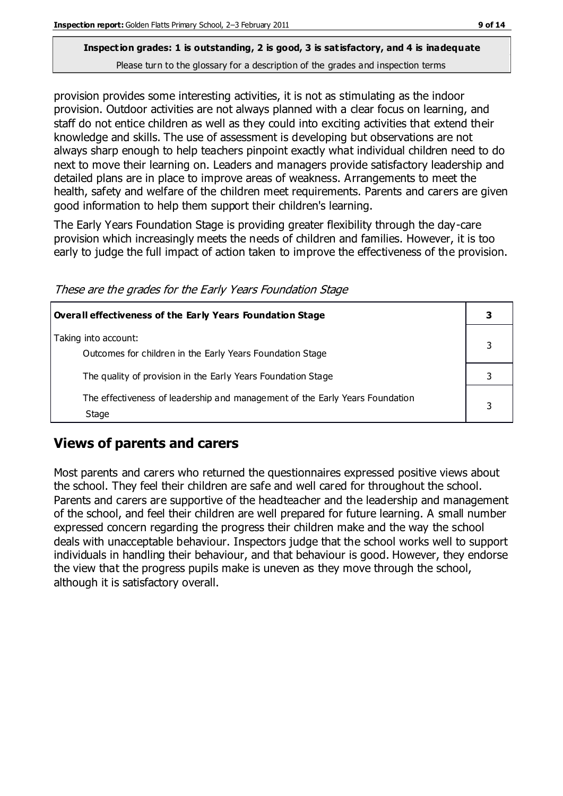provision provides some interesting activities, it is not as stimulating as the indoor provision. Outdoor activities are not always planned with a clear focus on learning, and staff do not entice children as well as they could into exciting activities that extend their knowledge and skills. The use of assessment is developing but observations are not always sharp enough to help teachers pinpoint exactly what individual children need to do next to move their learning on. Leaders and managers provide satisfactory leadership and detailed plans are in place to improve areas of weakness. Arrangements to meet the health, safety and welfare of the children meet requirements. Parents and carers are given good information to help them support their children's learning.

The Early Years Foundation Stage is providing greater flexibility through the day-care provision which increasingly meets the needs of children and families. However, it is too early to judge the full impact of action taken to improve the effectiveness of the provision.

These are the grades for the Early Years Foundation Stage

| Overall effectiveness of the Early Years Foundation Stage                             |   |
|---------------------------------------------------------------------------------------|---|
| Taking into account:<br>Outcomes for children in the Early Years Foundation Stage     |   |
| The quality of provision in the Early Years Foundation Stage                          |   |
| The effectiveness of leadership and management of the Early Years Foundation<br>Stage | 3 |

# **Views of parents and carers**

Most parents and carers who returned the questionnaires expressed positive views about the school. They feel their children are safe and well cared for throughout the school. Parents and carers are supportive of the headteacher and the leadership and management of the school, and feel their children are well prepared for future learning. A small number expressed concern regarding the progress their children make and the way the school deals with unacceptable behaviour. Inspectors judge that the school works well to support individuals in handling their behaviour, and that behaviour is good. However, they endorse the view that the progress pupils make is uneven as they move through the school, although it is satisfactory overall.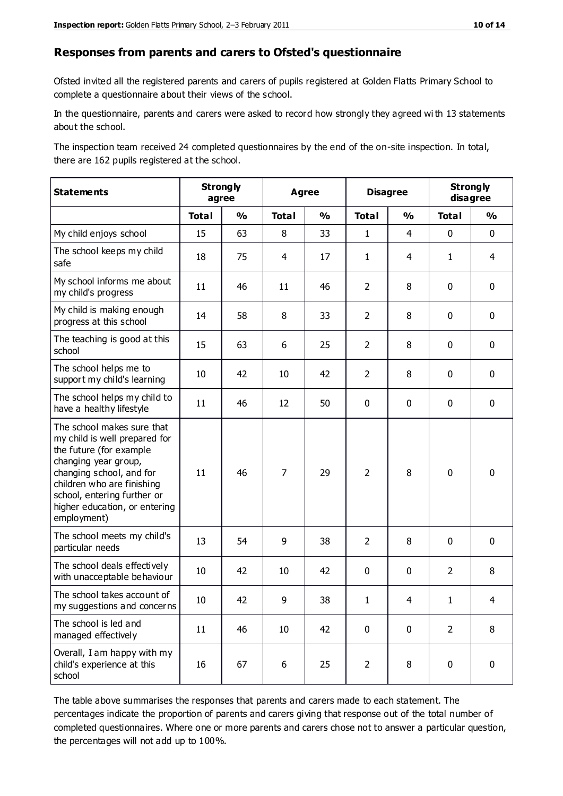#### **Responses from parents and carers to Ofsted's questionnaire**

Ofsted invited all the registered parents and carers of pupils registered at Golden Flatts Primary School to complete a questionnaire about their views of the school.

In the questionnaire, parents and carers were asked to record how strongly they agreed wi th 13 statements about the school.

The inspection team received 24 completed questionnaires by the end of the on-site inspection. In total, there are 162 pupils registered at the school.

| <b>Statements</b>                                                                                                                                                                                                                                       | <b>Strongly</b><br>agree |               | <b>Agree</b>   |               | <b>Disagree</b> |                | <b>Strongly</b><br>disagree |                |
|---------------------------------------------------------------------------------------------------------------------------------------------------------------------------------------------------------------------------------------------------------|--------------------------|---------------|----------------|---------------|-----------------|----------------|-----------------------------|----------------|
|                                                                                                                                                                                                                                                         | <b>Total</b>             | $\frac{1}{2}$ | <b>Total</b>   | $\frac{1}{2}$ | <b>Total</b>    | $\frac{0}{0}$  | <b>Total</b>                | $\frac{0}{0}$  |
| My child enjoys school                                                                                                                                                                                                                                  | 15                       | 63            | 8              | 33            | $\mathbf{1}$    | $\overline{4}$ | $\mathbf 0$                 | $\mathbf 0$    |
| The school keeps my child<br>safe                                                                                                                                                                                                                       | 18                       | 75            | 4              | 17            | $\mathbf{1}$    | 4              | $\mathbf{1}$                | $\overline{4}$ |
| My school informs me about<br>my child's progress                                                                                                                                                                                                       | 11                       | 46            | 11             | 46            | $\overline{2}$  | 8              | $\mathbf 0$                 | $\mathbf 0$    |
| My child is making enough<br>progress at this school                                                                                                                                                                                                    | 14                       | 58            | 8              | 33            | $\overline{2}$  | 8              | $\mathbf 0$                 | $\mathbf 0$    |
| The teaching is good at this<br>school                                                                                                                                                                                                                  | 15                       | 63            | 6              | 25            | $\overline{2}$  | 8              | 0                           | $\mathbf 0$    |
| The school helps me to<br>support my child's learning                                                                                                                                                                                                   | 10                       | 42            | 10             | 42            | $\overline{2}$  | 8              | $\mathbf 0$                 | $\mathbf 0$    |
| The school helps my child to<br>have a healthy lifestyle                                                                                                                                                                                                | 11                       | 46            | 12             | 50            | 0               | $\mathbf 0$    | $\mathbf 0$                 | $\mathbf 0$    |
| The school makes sure that<br>my child is well prepared for<br>the future (for example<br>changing year group,<br>changing school, and for<br>children who are finishing<br>school, entering further or<br>higher education, or entering<br>employment) | 11                       | 46            | $\overline{7}$ | 29            | $\overline{2}$  | 8              | $\mathbf 0$                 | $\mathbf 0$    |
| The school meets my child's<br>particular needs                                                                                                                                                                                                         | 13                       | 54            | 9              | 38            | $\overline{2}$  | 8              | $\mathbf 0$                 | $\mathbf 0$    |
| The school deals effectively<br>with unacceptable behaviour                                                                                                                                                                                             | 10                       | 42            | 10             | 42            | 0               | $\mathbf 0$    | $\overline{2}$              | 8              |
| The school takes account of<br>my suggestions and concerns                                                                                                                                                                                              | 10                       | 42            | 9              | 38            | 1               | 4              | 1                           | 4              |
| The school is led and<br>managed effectively                                                                                                                                                                                                            | 11                       | 46            | 10             | 42            | $\pmb{0}$       | $\mathbf 0$    | $\overline{2}$              | 8              |
| Overall, I am happy with my<br>child's experience at this<br>school                                                                                                                                                                                     | 16                       | 67            | 6              | 25            | $\overline{2}$  | 8              | $\pmb{0}$                   | $\pmb{0}$      |

The table above summarises the responses that parents and carers made to each statement. The percentages indicate the proportion of parents and carers giving that response out of the total number of completed questionnaires. Where one or more parents and carers chose not to answer a particular question, the percentages will not add up to 100%.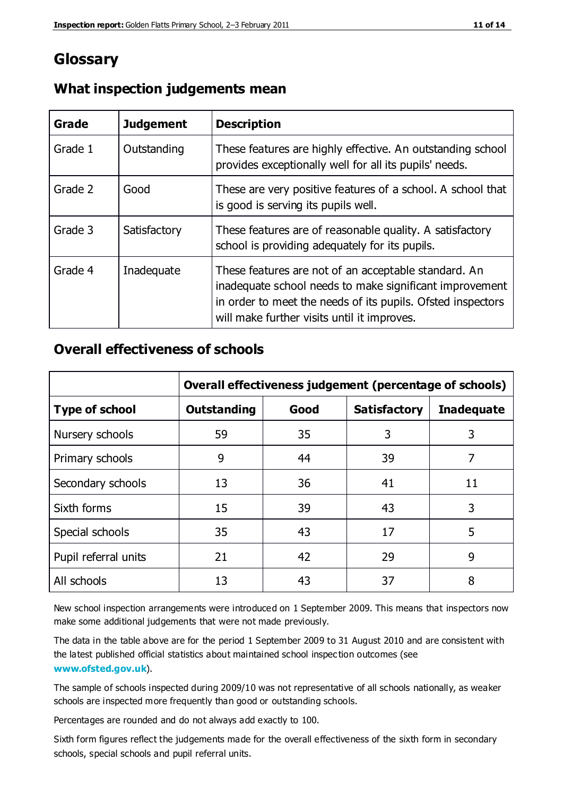# **Glossary**

| Grade   | <b>Judgement</b> | <b>Description</b>                                                                                                                                                                                                            |
|---------|------------------|-------------------------------------------------------------------------------------------------------------------------------------------------------------------------------------------------------------------------------|
| Grade 1 | Outstanding      | These features are highly effective. An outstanding school<br>provides exceptionally well for all its pupils' needs.                                                                                                          |
| Grade 2 | Good             | These are very positive features of a school. A school that<br>is good is serving its pupils well.                                                                                                                            |
| Grade 3 | Satisfactory     | These features are of reasonable quality. A satisfactory<br>school is providing adequately for its pupils.                                                                                                                    |
| Grade 4 | Inadequate       | These features are not of an acceptable standard. An<br>inadequate school needs to make significant improvement<br>in order to meet the needs of its pupils. Ofsted inspectors<br>will make further visits until it improves. |

#### **What inspection judgements mean**

## **Overall effectiveness of schools**

|                       | Overall effectiveness judgement (percentage of schools) |      |                     |                   |
|-----------------------|---------------------------------------------------------|------|---------------------|-------------------|
| <b>Type of school</b> | <b>Outstanding</b>                                      | Good | <b>Satisfactory</b> | <b>Inadequate</b> |
| Nursery schools       | 59                                                      | 35   | 3                   | 3                 |
| Primary schools       | 9                                                       | 44   | 39                  | 7                 |
| Secondary schools     | 13                                                      | 36   | 41                  | 11                |
| Sixth forms           | 15                                                      | 39   | 43                  | 3                 |
| Special schools       | 35                                                      | 43   | 17                  | 5                 |
| Pupil referral units  | 21                                                      | 42   | 29                  | 9                 |
| All schools           | 13                                                      | 43   | 37                  | 8                 |

New school inspection arrangements were introduced on 1 September 2009. This means that inspectors now make some additional judgements that were not made previously.

The data in the table above are for the period 1 September 2009 to 31 August 2010 and are consistent with the latest published official statistics about maintained school inspec tion outcomes (see **[www.ofsted.gov.uk](http://www.ofsted.gov.uk/)**).

The sample of schools inspected during 2009/10 was not representative of all schools nationally, as weaker schools are inspected more frequently than good or outstanding schools.

Percentages are rounded and do not always add exactly to 100.

Sixth form figures reflect the judgements made for the overall effectiveness of the sixth form in secondary schools, special schools and pupil referral units.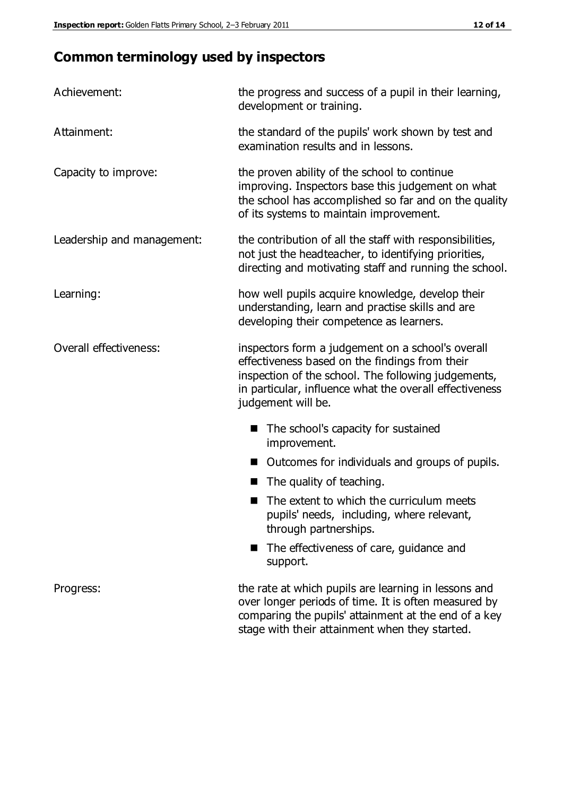# **Common terminology used by inspectors**

| Achievement:                  | the progress and success of a pupil in their learning,<br>development or training.                                                                                                                                                          |  |  |
|-------------------------------|---------------------------------------------------------------------------------------------------------------------------------------------------------------------------------------------------------------------------------------------|--|--|
| Attainment:                   | the standard of the pupils' work shown by test and<br>examination results and in lessons.                                                                                                                                                   |  |  |
| Capacity to improve:          | the proven ability of the school to continue<br>improving. Inspectors base this judgement on what<br>the school has accomplished so far and on the quality<br>of its systems to maintain improvement.                                       |  |  |
| Leadership and management:    | the contribution of all the staff with responsibilities,<br>not just the headteacher, to identifying priorities,<br>directing and motivating staff and running the school.                                                                  |  |  |
| Learning:                     | how well pupils acquire knowledge, develop their<br>understanding, learn and practise skills and are<br>developing their competence as learners.                                                                                            |  |  |
| <b>Overall effectiveness:</b> | inspectors form a judgement on a school's overall<br>effectiveness based on the findings from their<br>inspection of the school. The following judgements,<br>in particular, influence what the overall effectiveness<br>judgement will be. |  |  |
|                               | The school's capacity for sustained<br>improvement.                                                                                                                                                                                         |  |  |
|                               | Outcomes for individuals and groups of pupils.                                                                                                                                                                                              |  |  |
|                               | The quality of teaching.                                                                                                                                                                                                                    |  |  |
|                               | The extent to which the curriculum meets<br>pupils' needs, including, where relevant,<br>through partnerships.                                                                                                                              |  |  |
|                               | The effectiveness of care, guidance and<br>support.                                                                                                                                                                                         |  |  |
| Progress:                     | the rate at which pupils are learning in lessons and<br>over longer periods of time. It is often measured by<br>comparing the pupils' attainment at the end of a key                                                                        |  |  |

stage with their attainment when they started.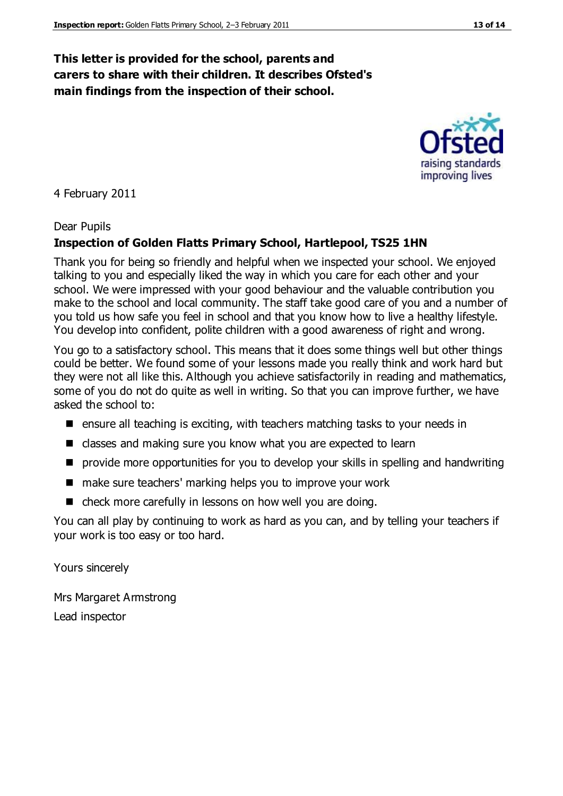### **This letter is provided for the school, parents and carers to share with their children. It describes Ofsted's main findings from the inspection of their school.**

#### 4 February 2011

#### Dear Pupils

#### **Inspection of Golden Flatts Primary School, Hartlepool, TS25 1HN**

Thank you for being so friendly and helpful when we inspected your school. We enjoyed talking to you and especially liked the way in which you care for each other and your school. We were impressed with your good behaviour and the valuable contribution you make to the school and local community. The staff take good care of you and a number of you told us how safe you feel in school and that you know how to live a healthy lifestyle. You develop into confident, polite children with a good awareness of right and wrong.

You go to a satisfactory school. This means that it does some things well but other things could be better. We found some of your lessons made you really think and work hard but they were not all like this. Although you achieve satisfactorily in reading and mathematics, some of you do not do quite as well in writing. So that you can improve further, we have asked the school to:

- $\blacksquare$  ensure all teaching is exciting, with teachers matching tasks to your needs in
- classes and making sure you know what you are expected to learn
- **P** provide more opportunities for you to develop your skills in spelling and handwriting
- make sure teachers' marking helps you to improve your work
- check more carefully in lessons on how well you are doing.

You can all play by continuing to work as hard as you can, and by telling your teachers if your work is too easy or too hard.

Yours sincerely

Mrs Margaret Armstrong Lead inspector